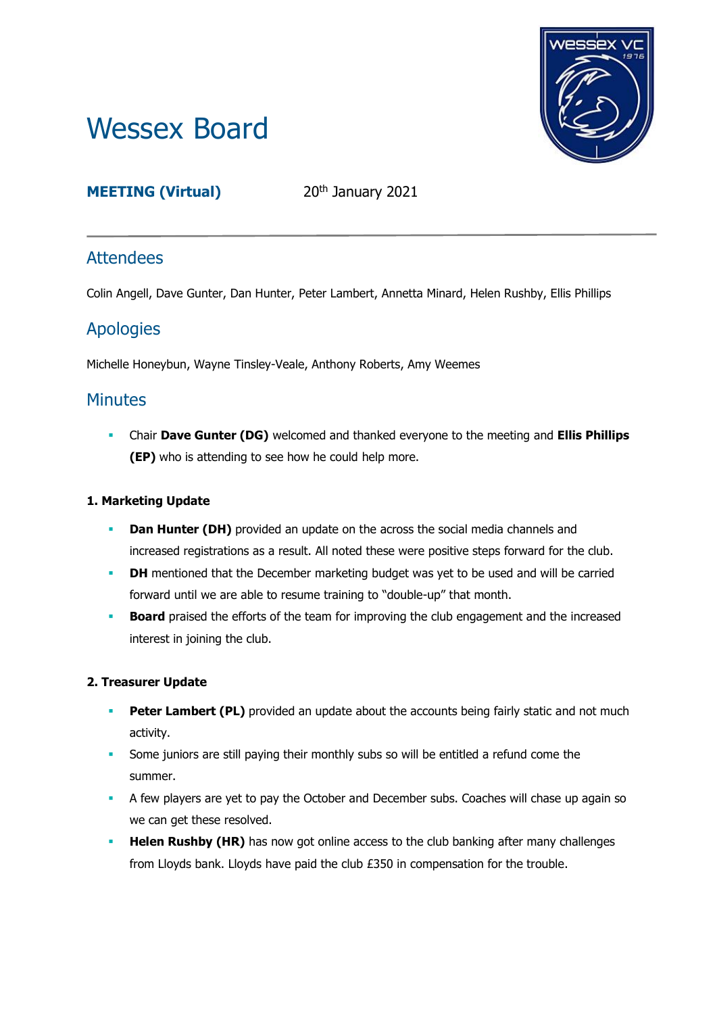# Wessex Board



# **MEETING (Virtual)** 20<sup>th</sup> January 2021

# **Attendees**

Colin Angell, Dave Gunter, Dan Hunter, Peter Lambert, Annetta Minard, Helen Rushby, Ellis Phillips

# Apologies

Michelle Honeybun, Wayne Tinsley-Veale, Anthony Roberts, Amy Weemes

# **Minutes**

▪ Chair **Dave Gunter (DG)** welcomed and thanked everyone to the meeting and **Ellis Phillips (EP)** who is attending to see how he could help more.

# **1. Marketing Update**

- **Dan Hunter (DH)** provided an update on the across the social media channels and increased registrations as a result. All noted these were positive steps forward for the club.
- **DH** mentioned that the December marketing budget was yet to be used and will be carried forward until we are able to resume training to "double-up" that month.
- **Board** praised the efforts of the team for improving the club engagement and the increased interest in joining the club.

# **2. Treasurer Update**

- **Peter Lambert (PL)** provided an update about the accounts being fairly static and not much activity.
- **•** Some juniors are still paying their monthly subs so will be entitled a refund come the summer.
- **EXECT** A few players are yet to pay the October and December subs. Coaches will chase up again so we can get these resolved.
- **Helen Rushby (HR)** has now got online access to the club banking after many challenges from Lloyds bank. Lloyds have paid the club £350 in compensation for the trouble.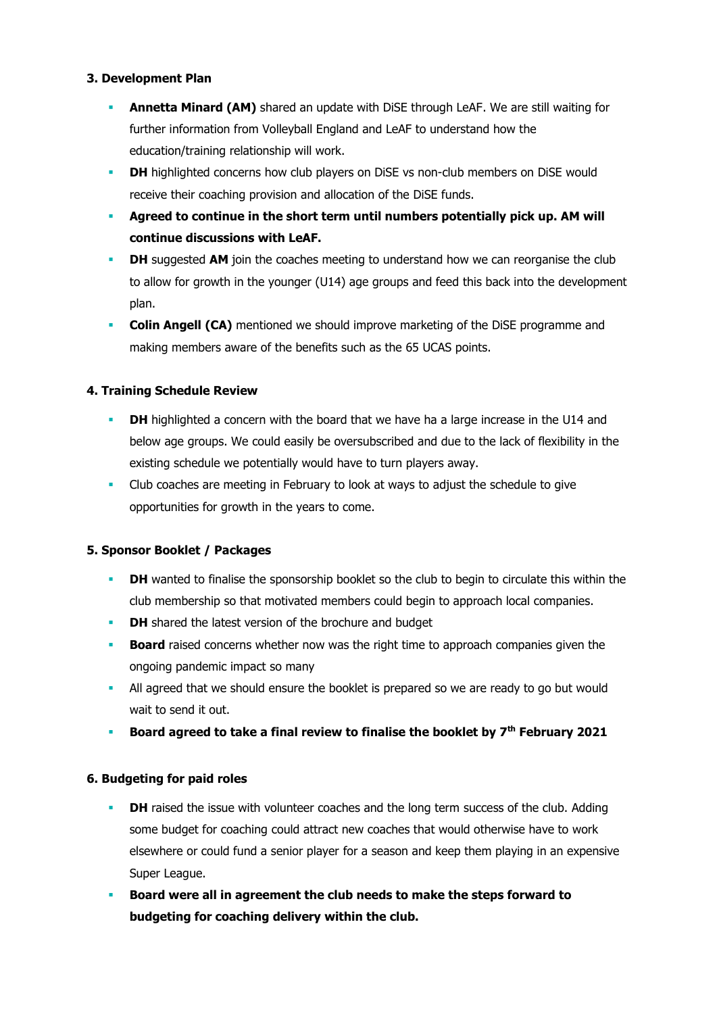#### **3. Development Plan**

- **Annetta Minard (AM)** shared an update with DiSE through LeAF. We are still waiting for further information from Volleyball England and LeAF to understand how the education/training relationship will work.
- **DH** highlighted concerns how club players on DiSE vs non-club members on DiSE would receive their coaching provision and allocation of the DiSE funds.
- **Agreed to continue in the short term until numbers potentially pick up. AM will continue discussions with LeAF.**
- **DH** suggested AM join the coaches meeting to understand how we can reorganise the club to allow for growth in the younger (U14) age groups and feed this back into the development plan.
- **Colin Angell (CA)** mentioned we should improve marketing of the DiSE programme and making members aware of the benefits such as the 65 UCAS points.

## **4. Training Schedule Review**

- **DH** highlighted a concern with the board that we have ha a large increase in the U14 and below age groups. We could easily be oversubscribed and due to the lack of flexibility in the existing schedule we potentially would have to turn players away.
- Club coaches are meeting in February to look at ways to adjust the schedule to give opportunities for growth in the years to come.

## **5. Sponsor Booklet / Packages**

- **DH** wanted to finalise the sponsorship booklet so the club to begin to circulate this within the club membership so that motivated members could begin to approach local companies.
- **DH** shared the latest version of the brochure and budget
- **Board** raised concerns whether now was the right time to approach companies given the ongoing pandemic impact so many
- **All agreed that we should ensure the booklet is prepared so we are ready to go but would** wait to send it out.
- **Board agreed to take a final review to finalise the booklet by 7 th February 2021**

## **6. Budgeting for paid roles**

- **DH** raised the issue with volunteer coaches and the long term success of the club. Adding some budget for coaching could attract new coaches that would otherwise have to work elsewhere or could fund a senior player for a season and keep them playing in an expensive Super League.
- **Board were all in agreement the club needs to make the steps forward to budgeting for coaching delivery within the club.**